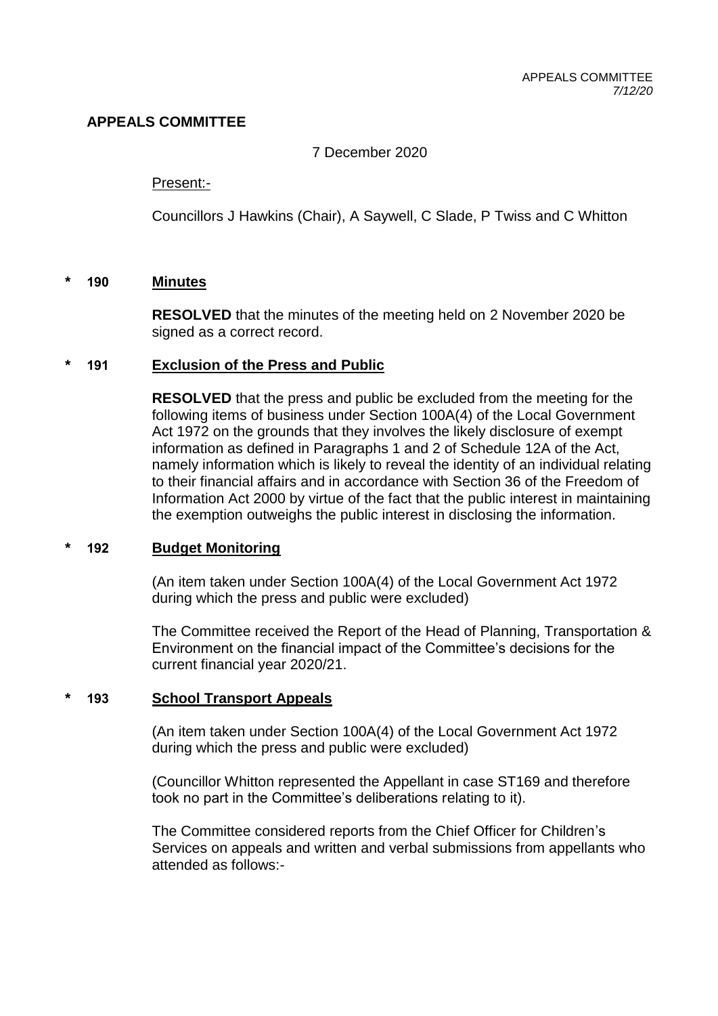# **APPEALS COMMITTEE**

7 December 2020

#### Present:-

Councillors J Hawkins (Chair), A Saywell, C Slade, P Twiss and C Whitton

### **\* 190 Minutes**

**RESOLVED** that the minutes of the meeting held on 2 November 2020 be signed as a correct record.

### **\* 191 Exclusion of the Press and Public**

**RESOLVED** that the press and public be excluded from the meeting for the following items of business under Section 100A(4) of the Local Government Act 1972 on the grounds that they involves the likely disclosure of exempt information as defined in Paragraphs 1 and 2 of Schedule 12A of the Act, namely information which is likely to reveal the identity of an individual relating to their financial affairs and in accordance with Section 36 of the Freedom of Information Act 2000 by virtue of the fact that the public interest in maintaining the exemption outweighs the public interest in disclosing the information.

#### **\* 192 Budget Monitoring**

(An item taken under Section 100A(4) of the Local Government Act 1972 during which the press and public were excluded)

The Committee received the Report of the Head of Planning, Transportation & Environment on the financial impact of the Committee's decisions for the current financial year 2020/21.

## **\* 193 School Transport Appeals**

(An item taken under Section 100A(4) of the Local Government Act 1972 during which the press and public were excluded)

(Councillor Whitton represented the Appellant in case ST169 and therefore took no part in the Committee's deliberations relating to it).

The Committee considered reports from the Chief Officer for Children's Services on appeals and written and verbal submissions from appellants who attended as follows:-